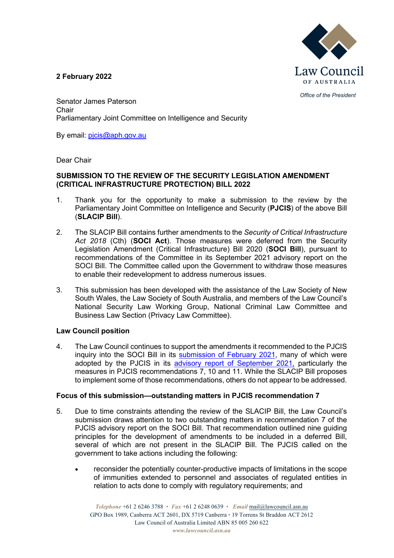

**2 February 2022**

*Office of the President*

Senator James Paterson Chair Parliamentary Joint Committee on Intelligence and Security

By email: [pjcis@aph.gov.au](mailto:pjcis@aph.gov.au)

Dear Chair

#### **SUBMISSION TO THE REVIEW OF THE SECURITY LEGISLATION AMENDMENT (CRITICAL INFRASTRUCTURE PROTECTION) BILL 2022**

- 1. Thank you for the opportunity to make a submission to the review by the Parliamentary Joint Committee on Intelligence and Security (**PJCIS**) of the above Bill (**SLACIP Bill**).
- 2. The SLACIP Bill contains further amendments to the *Security of Critical Infrastructure Act 2018* (Cth) (**SOCI Act**). Those measures were deferred from the Security Legislation Amendment (Critical Infrastructure) Bill 2020 (**SOCI Bill**), pursuant to recommendations of the Committee in its September 2021 advisory report on the SOCI Bill. The Committee called upon the Government to withdraw those measures to enable their redevelopment to address numerous issues.
- 3. This submission has been developed with the assistance of the Law Society of New South Wales, the Law Society of South Australia, and members of the Law Council's National Security Law Working Group, National Criminal Law Committee and Business Law Section (Privacy Law Committee).

### **Law Council position**

4. The Law Council continues to support the amendments it recommended to the PJCIS inquiry into the SOCI Bill in its [submission of February](https://www.lawcouncil.asn.au/resources/submissions/security-legislation-amendment-critical-infrastructure-bill-2020-and-review-of-the-security-of-critical-infrastructure-act-2018-cth) 2021, many of which were adopted by the PJCIS in its [advisory report of September 2021,](https://www.aph.gov.au/Parliamentary_Business/Committees/Joint/Intelligence_and_Security/SOCI/Report) particularly the measures in PJCIS recommendations 7, 10 and 11. While the SLACIP Bill proposes to implement some of those recommendations, others do not appear to be addressed.

### **Focus of this submission—outstanding matters in PJCIS recommendation 7**

- 5. Due to time constraints attending the review of the SLACIP Bill, the Law Council's submission draws attention to two outstanding matters in recommendation 7 of the PJCIS advisory report on the SOCI Bill. That recommendation outlined nine guiding principles for the development of amendments to be included in a deferred Bill, several of which are not present in the SLACIP Bill. The PJCIS called on the government to take actions including the following:
	- reconsider the potentially counter-productive impacts of limitations in the scope of immunities extended to personnel and associates of regulated entities in relation to acts done to comply with regulatory requirements; and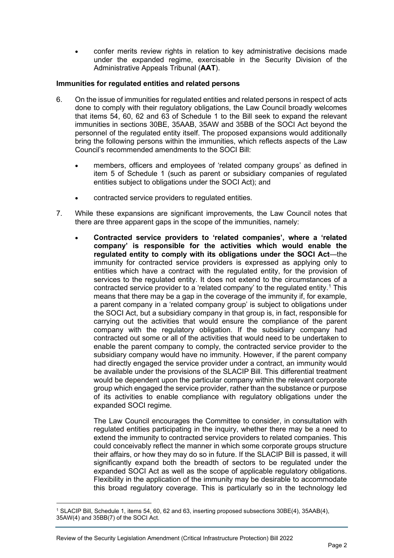• confer merits review rights in relation to key administrative decisions made under the expanded regime, exercisable in the Security Division of the Administrative Appeals Tribunal (**AAT**).

## **Immunities for regulated entities and related persons**

- 6. On the issue of immunities for regulated entities and related persons in respect of acts done to comply with their regulatory obligations, the Law Council broadly welcomes that items 54, 60, 62 and 63 of Schedule 1 to the Bill seek to expand the relevant immunities in sections 30BE, 35AAB, 35AW and 35BB of the SOCI Act beyond the personnel of the regulated entity itself. The proposed expansions would additionally bring the following persons within the immunities, which reflects aspects of the Law Council's recommended amendments to the SOCI Bill:
	- members, officers and employees of 'related company groups' as defined in item 5 of Schedule 1 (such as parent or subsidiary companies of regulated entities subject to obligations under the SOCI Act); and
	- contracted service providers to regulated entities.
- 7. While these expansions are significant improvements, the Law Council notes that there are three apparent gaps in the scope of the immunities, namely:
	- **Contracted service providers to 'related companies', where a 'related company' is responsible for the activities which would enable the regulated entity to comply with its obligations under the SOCI Act**—the immunity for contracted service providers is expressed as applying only to entities which have a contract with the regulated entity, for the provision of services to the regulated entity. It does not extend to the circumstances of a contracted service provider to a 'related company' to the regulated entity.[1](#page-1-0) This means that there may be a gap in the coverage of the immunity if, for example, a parent company in a 'related company group' is subject to obligations under the SOCI Act, but a subsidiary company in that group is, in fact, responsible for carrying out the activities that would ensure the compliance of the parent company with the regulatory obligation. If the subsidiary company had contracted out some or all of the activities that would need to be undertaken to enable the parent company to comply, the contracted service provider to the subsidiary company would have no immunity. However, if the parent company had directly engaged the service provider under a contract, an immunity would be available under the provisions of the SLACIP Bill. This differential treatment would be dependent upon the particular company within the relevant corporate group which engaged the service provider, rather than the substance or purpose of its activities to enable compliance with regulatory obligations under the expanded SOCI regime.

The Law Council encourages the Committee to consider, in consultation with regulated entities participating in the inquiry, whether there may be a need to extend the immunity to contracted service providers to related companies. This could conceivably reflect the manner in which some corporate groups structure their affairs, or how they may do so in future. If the SLACIP Bill is passed, it will significantly expand both the breadth of sectors to be regulated under the expanded SOCI Act as well as the scope of applicable regulatory obligations. Flexibility in the application of the immunity may be desirable to accommodate this broad regulatory coverage. This is particularly so in the technology led

<span id="page-1-0"></span><sup>1</sup> SLACIP Bill, Schedule 1, items 54, 60, 62 and 63, inserting proposed subsections 30BE(4), 35AAB(4), 35AW(4) and 35BB(7) of the SOCI Act.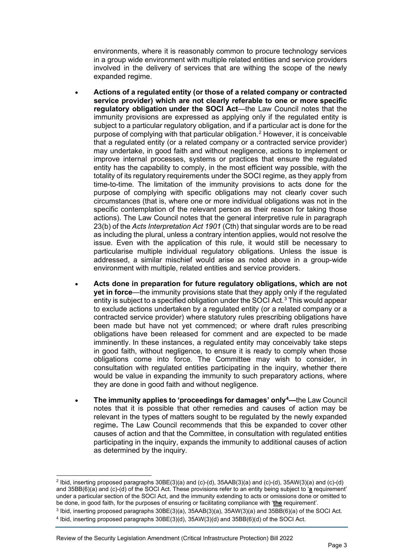environments, where it is reasonably common to procure technology services in a group wide environment with multiple related entities and service providers involved in the delivery of services that are withing the scope of the newly expanded regime.

- **Actions of a regulated entity (or those of a related company or contracted service provider) which are not clearly referable to one or more specific regulatory obligation under the SOCI Act**—the Law Council notes that the immunity provisions are expressed as applying only if the regulated entity is subject to a particular regulatory obligation, and if a particular act is done for the purpose of complying with that particular obligation.[2](#page-2-0) However, it is conceivable that a regulated entity (or a related company or a contracted service provider) may undertake, in good faith and without negligence, actions to implement or improve internal processes, systems or practices that ensure the regulated entity has the capability to comply, in the most efficient way possible, with the totality of its regulatory requirements under the SOCI regime, as they apply from time-to-time. The limitation of the immunity provisions to acts done for the purpose of complying with specific obligations may not clearly cover such circumstances (that is, where one or more individual obligations was not in the specific contemplation of the relevant person as their reason for taking those actions). The Law Council notes that the general interpretive rule in paragraph 23(b) of the *Acts Interpretation Act 1901* (Cth) that singular words are to be read as including the plural, unless a contrary intention applies, would not resolve the issue. Even with the application of this rule, it would still be necessary to particularise multiple individual regulatory obligations. Unless the issue is addressed, a similar mischief would arise as noted above in a group-wide environment with multiple, related entities and service providers.
- **Acts done in preparation for future regulatory obligations, which are not yet in force**—the immunity provisions state that they apply only if the regulated entity is subject to a specified obligation under the SOCI Act.[3](#page-2-1) This would appear to exclude actions undertaken by a regulated entity (or a related company or a contracted service provider) where statutory rules prescribing obligations have been made but have not yet commenced; or where draft rules prescribing obligations have been released for comment and are expected to be made imminently. In these instances, a regulated entity may conceivably take steps in good faith, without negligence, to ensure it is ready to comply when those obligations come into force. The Committee may wish to consider, in consultation with regulated entities participating in the inquiry, whether there would be value in expanding the immunity to such preparatory actions, where they are done in good faith and without negligence.
- **The immunity applies to 'proceedings for damages' onl[y4](#page-2-2) —**the Law Council notes that it is possible that other remedies and causes of action may be relevant in the types of matters sought to be regulated by the newly expanded regime**.** The Law Council recommends that this be expanded to cover other causes of action and that the Committee, in consultation with regulated entities participating in the inquiry, expands the immunity to additional causes of action as determined by the inquiry.

<span id="page-2-0"></span><sup>2</sup> Ibid, inserting proposed paragraphs 30BE(3)(a) and (c)-(d), 35AAB(3)(a) and (c)-(d), 35AW(3)(a) and (c)-(d) and 35BB(6)(a) and (c)-(d) of the SOCI Act. These provisions refer to an entity being subject to '**a** requirement' under a particular section of the SOCI Act, and the immunity extending to acts or omissions done or omitted to be done, in good faith, for the purposes of ensuring or facilitating compliance with '**the** requirement'.

<span id="page-2-2"></span><span id="page-2-1"></span><sup>3</sup> Ibid, inserting proposed paragraphs 30BE(3)(a), 35AAB(3)(a), 35AW(3)(a) and 35BB(6)(a) of the SOCI Act. <sup>4</sup> Ibid, inserting proposed paragraphs 30BE(3)(d), 35AW(3)(d) and 35BB(6)(d) of the SOCI Act.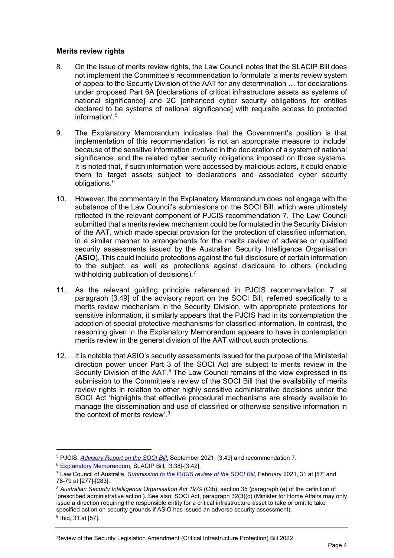## **Merits review rights**

- 8. On the issue of merits review rights, the Law Council notes that the SLACIP Bill does not implement the Committee's recommendation to formulate 'a merits review system of appeal to the Security Division of the AAT for any determination … for declarations under proposed Part 6A [declarations of critical infrastructure assets as systems of national significance] and 2C [enhanced cyber security obligations for entities declared to be systems of national significance] with requisite access to protected information<sup>'[5](#page-3-0)</sup>
- 9. The Explanatory Memorandum indicates that the Government's position is that implementation of this recommendation 'is not an appropriate measure to include' because of the sensitive information involved in the declaration of a system of national significance, and the related cyber security obligations imposed on those systems. It is noted that, if such information were accessed by malicious actors, it could enable them to target assets subject to declarations and associated cyber security obligations.[6](#page-3-1)
- 10. However, the commentary in the Explanatory Memorandum does not engage with the substance of the Law Council's submissions on the SOCI Bill, which were ultimately reflected in the relevant component of PJCIS recommendation 7. The Law Council submitted that a merits review mechanism could be formulated in the Security Division of the AAT, which made special provision for the protection of classified information, in a similar manner to arrangements for the merits review of adverse or qualified security assessments issued by the Australian Security Intelligence Organisation (**ASIO**). This could include protections against the full disclosure of certain information to the subject, as well as protections against disclosure to others (including withholding publication of decisions).<sup>[7](#page-3-2)</sup>
- 11. As the relevant guiding principle referenced in PJCIS recommendation 7, at paragraph [3.49] of the advisory report on the SOCI Bill, referred specifically to a merits review mechanism in the Security Division, with appropriate protections for sensitive information, it similarly appears that the PJCIS had in its contemplation the adoption of special protective mechanisms for classified information. In contrast, the reasoning given in the Explanatory Memorandum appears to have in contemplation merits review in the general division of the AAT without such protections.
- 12. It is notable that ASIO's security assessments issued for the purpose of the Ministerial direction power under Part 3 of the SOCI Act are subject to merits review in the Security Division of the  $AAT$ .<sup>[8](#page-3-3)</sup> The Law Council remains of the view expressed in its submission to the Committee's review of the SOCI Bill that the availability of merits review rights in relation to other highly sensitive administrative decisions under the SOCI Act 'highlights that effective procedural mechanisms are already available to manage the dissemination and use of classified or otherwise sensitive information in the context of merits review'.[9](#page-3-4)

<sup>5</sup> PJCIS, *[Advisory Report on the SOCI Bill](https://www.aph.gov.au/Parliamentary_Business/Committees/Joint/Intelligence_and_Security/SOCI/Report)*, September 2021, [3.49] and recommendation 7.

<span id="page-3-1"></span><span id="page-3-0"></span><sup>6</sup> [Explanatory Memorandum,](https://parlinfo.aph.gov.au/parlInfo/search/display/display.w3p;query=Id%3A%22legislation%2Fems%2Fr6833_ems_e948a334-98d0-4960-860d-f1d9622b2d53%22) SLACIP Bill, [3.38]-[3.42].

<span id="page-3-2"></span><sup>7</sup> Law Council of Australia, *[Submission to the PJCIS review of the SOCI Bill](https://www.aph.gov.au/Parliamentary_Business/Committees/Joint/Intelligence_and_Security/SOCI/Submissions)*, February 2021, 31 at [57] and 78-79 at [277]-[283].

<span id="page-3-3"></span><sup>8</sup> *Australian Security Intelligence Organisation Act 1979* (Cth), section 35 (paragraph (e) of the definition of 'prescribed administrative action'). See also: SOCI Act, paragraph 32(3)(c) (Minister for Home Affairs may only issue a direction requiring the responsible entity for a critical infrastructure asset to take or omit to take specified action on security grounds if ASIO has issued an adverse security assessment).

<span id="page-3-4"></span><sup>9</sup> Ibid, 31 at [57].